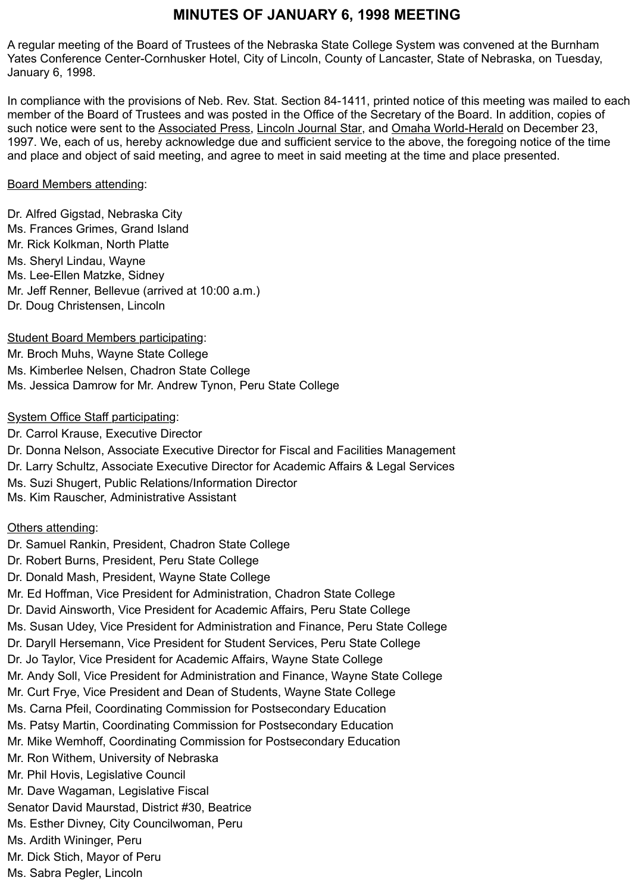# **MINUTES OF JANUARY 6, 1998 MEETING**

A regular meeting of the Board of Trustees of the Nebraska State College System was convened at the Burnham Yates Conference Center-Cornhusker Hotel, City of Lincoln, County of Lancaster, State of Nebraska, on Tuesday, January 6, 1998.

In compliance with the provisions of Neb. Rev. Stat. Section 84-1411, printed notice of this meeting was mailed to each member of the Board of Trustees and was posted in the Office of the Secretary of the Board. In addition, copies of such notice were sent to the Associated Press, Lincoln Journal Star, and Omaha World-Herald on December 23, 1997. We, each of us, hereby acknowledge due and sufficient service to the above, the foregoing notice of the time and place and object of said meeting, and agree to meet in said meeting at the time and place presented.

#### Board Members attending:

Dr. Alfred Gigstad, Nebraska City Ms. Frances Grimes, Grand Island Mr. Rick Kolkman, North Platte Ms. Sheryl Lindau, Wayne Ms. Lee-Ellen Matzke, Sidney Mr. Jeff Renner, Bellevue (arrived at 10:00 a.m.) Dr. Doug Christensen, Lincoln

Student Board Members participating: Mr. Broch Muhs, Wayne State College Ms. Kimberlee Nelsen, Chadron State College Ms. Jessica Damrow for Mr. Andrew Tynon, Peru State College

#### System Office Staff participating:

Dr. Carrol Krause, Executive Director Dr. Donna Nelson, Associate Executive Director for Fiscal and Facilities Management Dr. Larry Schultz, Associate Executive Director for Academic Affairs & Legal Services Ms. Suzi Shugert, Public Relations/Information Director Ms. Kim Rauscher, Administrative Assistant

Others attending:

Dr. Samuel Rankin, President, Chadron State College Dr. Robert Burns, President, Peru State College Dr. Donald Mash, President, Wayne State College Mr. Ed Hoffman, Vice President for Administration, Chadron State College Dr. David Ainsworth, Vice President for Academic Affairs, Peru State College Ms. Susan Udey, Vice President for Administration and Finance, Peru State College Dr. Daryll Hersemann, Vice President for Student Services, Peru State College Dr. Jo Taylor, Vice President for Academic Affairs, Wayne State College Mr. Andy Soll, Vice President for Administration and Finance, Wayne State College Mr. Curt Frye, Vice President and Dean of Students, Wayne State College Ms. Carna Pfeil, Coordinating Commission for Postsecondary Education Ms. Patsy Martin, Coordinating Commission for Postsecondary Education Mr. Mike Wemhoff, Coordinating Commission for Postsecondary Education Mr. Ron Withem, University of Nebraska Mr. Phil Hovis, Legislative Council Mr. Dave Wagaman, Legislative Fiscal Senator David Maurstad, District #30, Beatrice Ms. Esther Divney, City Councilwoman, Peru Ms. Ardith Wininger, Peru Mr. Dick Stich, Mayor of Peru

Ms. Sabra Pegler, Lincoln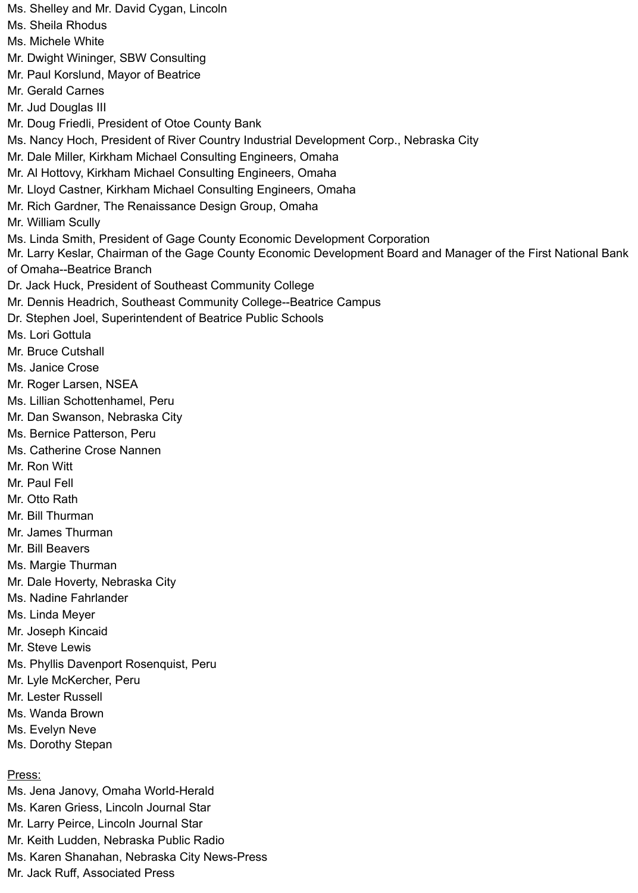Ms. Shelley and Mr. David Cygan, Lincoln Ms. Sheila Rhodus Ms. Michele White Mr. Dwight Wininger, SBW Consulting Mr. Paul Korslund, Mayor of Beatrice Mr. Gerald Carnes Mr. Jud Douglas III Mr. Doug Friedli, President of Otoe County Bank Ms. Nancy Hoch, President of River Country Industrial Development Corp., Nebraska City Mr. Dale Miller, Kirkham Michael Consulting Engineers, Omaha Mr. Al Hottovy, Kirkham Michael Consulting Engineers, Omaha Mr. Lloyd Castner, Kirkham Michael Consulting Engineers, Omaha Mr. Rich Gardner, The Renaissance Design Group, Omaha Mr. William Scully Ms. Linda Smith, President of Gage County Economic Development Corporation Mr. Larry Keslar, Chairman of the Gage County Economic Development Board and Manager of the First National Bank of Omaha--Beatrice Branch Dr. Jack Huck, President of Southeast Community College Mr. Dennis Headrich, Southeast Community College--Beatrice Campus Dr. Stephen Joel, Superintendent of Beatrice Public Schools Ms. Lori Gottula Mr. Bruce Cutshall Ms. Janice Crose Mr. Roger Larsen, NSEA Ms. Lillian Schottenhamel, Peru Mr. Dan Swanson, Nebraska City Ms. Bernice Patterson, Peru Ms. Catherine Crose Nannen Mr. Ron Witt Mr. Paul Fell Mr. Otto Rath Mr. Bill Thurman Mr. James Thurman Mr. Bill Beavers Ms. Margie Thurman Mr. Dale Hoverty, Nebraska City Ms. Nadine Fahrlander Ms. Linda Meyer Mr. Joseph Kincaid Mr. Steve Lewis Ms. Phyllis Davenport Rosenquist, Peru Mr. Lyle McKercher, Peru Mr. Lester Russell Ms. Wanda Brown Ms. Evelyn Neve Ms. Dorothy Stepan Press: Ms. Jena Janovy, Omaha World-Herald Ms. Karen Griess, Lincoln Journal Star Mr. Larry Peirce, Lincoln Journal Star Mr. Keith Ludden, Nebraska Public Radio

Ms. Karen Shanahan, Nebraska City News-Press

Mr. Jack Ruff, Associated Press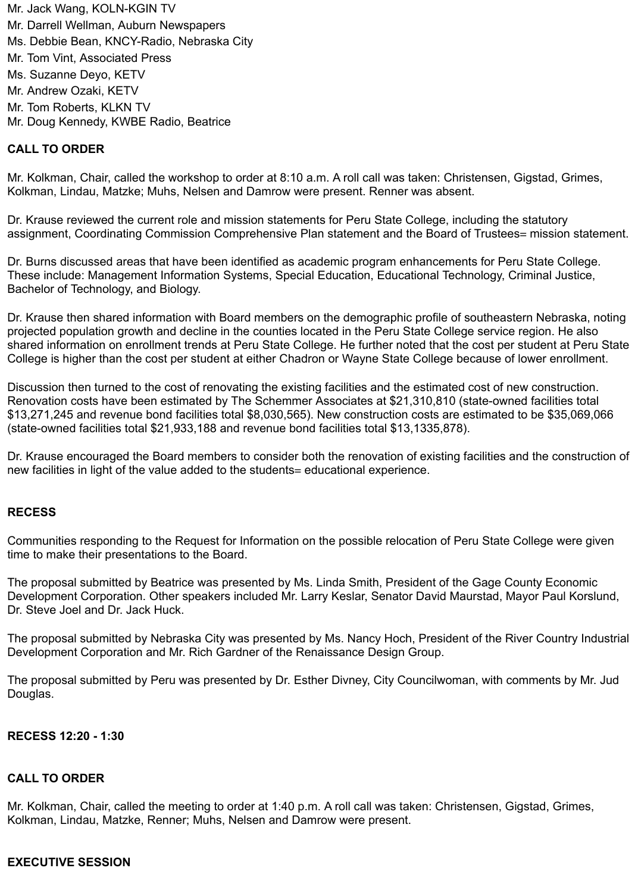Mr. Jack Wang, KOLN-KGIN TV Mr. Darrell Wellman, Auburn Newspapers Ms. Debbie Bean, KNCY-Radio, Nebraska City Mr. Tom Vint, Associated Press Ms. Suzanne Deyo, KETV Mr. Andrew Ozaki, KETV Mr. Tom Roberts, KLKN TV Mr. Doug Kennedy, KWBE Radio, Beatrice

### **CALL TO ORDER**

Mr. Kolkman, Chair, called the workshop to order at 8:10 a.m. A roll call was taken: Christensen, Gigstad, Grimes, Kolkman, Lindau, Matzke; Muhs, Nelsen and Damrow were present. Renner was absent.

Dr. Krause reviewed the current role and mission statements for Peru State College, including the statutory assignment, Coordinating Commission Comprehensive Plan statement and the Board of Trustees= mission statement.

Dr. Burns discussed areas that have been identified as academic program enhancements for Peru State College. These include: Management Information Systems, Special Education, Educational Technology, Criminal Justice, Bachelor of Technology, and Biology.

Dr. Krause then shared information with Board members on the demographic profile of southeastern Nebraska, noting projected population growth and decline in the counties located in the Peru State College service region. He also shared information on enrollment trends at Peru State College. He further noted that the cost per student at Peru State College is higher than the cost per student at either Chadron or Wayne State College because of lower enrollment.

Discussion then turned to the cost of renovating the existing facilities and the estimated cost of new construction. Renovation costs have been estimated by The Schemmer Associates at \$21,310,810 (state-owned facilities total \$13,271,245 and revenue bond facilities total \$8,030,565). New construction costs are estimated to be \$35,069,066 (state-owned facilities total \$21,933,188 and revenue bond facilities total \$13,1335,878).

Dr. Krause encouraged the Board members to consider both the renovation of existing facilities and the construction of new facilities in light of the value added to the students= educational experience.

#### **RECESS**

Communities responding to the Request for Information on the possible relocation of Peru State College were given time to make their presentations to the Board.

The proposal submitted by Beatrice was presented by Ms. Linda Smith, President of the Gage County Economic Development Corporation. Other speakers included Mr. Larry Keslar, Senator David Maurstad, Mayor Paul Korslund, Dr. Steve Joel and Dr. Jack Huck.

The proposal submitted by Nebraska City was presented by Ms. Nancy Hoch, President of the River Country Industrial Development Corporation and Mr. Rich Gardner of the Renaissance Design Group.

The proposal submitted by Peru was presented by Dr. Esther Divney, City Councilwoman, with comments by Mr. Jud Douglas.

#### **RECESS 12:20 - 1:30**

#### **CALL TO ORDER**

Mr. Kolkman, Chair, called the meeting to order at 1:40 p.m. A roll call was taken: Christensen, Gigstad, Grimes, Kolkman, Lindau, Matzke, Renner; Muhs, Nelsen and Damrow were present.

#### **EXECUTIVE SESSION**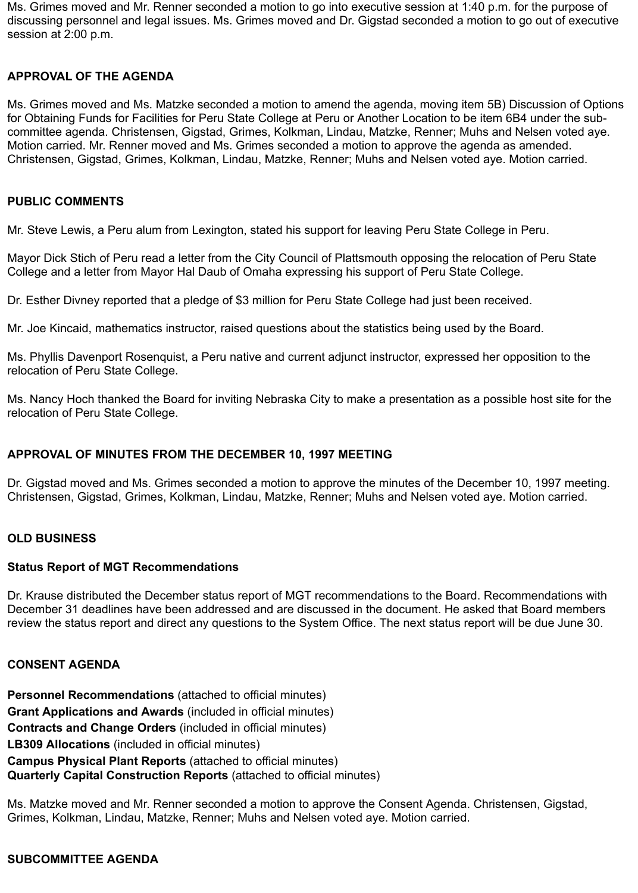Ms. Grimes moved and Mr. Renner seconded a motion to go into executive session at 1:40 p.m. for the purpose of discussing personnel and legal issues. Ms. Grimes moved and Dr. Gigstad seconded a motion to go out of executive session at 2:00 p.m.

## **APPROVAL OF THE AGENDA**

Ms. Grimes moved and Ms. Matzke seconded a motion to amend the agenda, moving item 5B) Discussion of Options for Obtaining Funds for Facilities for Peru State College at Peru or Another Location to be item 6B4 under the subcommittee agenda. Christensen, Gigstad, Grimes, Kolkman, Lindau, Matzke, Renner; Muhs and Nelsen voted aye. Motion carried. Mr. Renner moved and Ms. Grimes seconded a motion to approve the agenda as amended. Christensen, Gigstad, Grimes, Kolkman, Lindau, Matzke, Renner; Muhs and Nelsen voted aye. Motion carried.

### **PUBLIC COMMENTS**

Mr. Steve Lewis, a Peru alum from Lexington, stated his support for leaving Peru State College in Peru.

Mayor Dick Stich of Peru read a letter from the City Council of Plattsmouth opposing the relocation of Peru State College and a letter from Mayor Hal Daub of Omaha expressing his support of Peru State College.

Dr. Esther Divney reported that a pledge of \$3 million for Peru State College had just been received.

Mr. Joe Kincaid, mathematics instructor, raised questions about the statistics being used by the Board.

Ms. Phyllis Davenport Rosenquist, a Peru native and current adjunct instructor, expressed her opposition to the relocation of Peru State College.

Ms. Nancy Hoch thanked the Board for inviting Nebraska City to make a presentation as a possible host site for the relocation of Peru State College.

### **APPROVAL OF MINUTES FROM THE DECEMBER 10, 1997 MEETING**

Dr. Gigstad moved and Ms. Grimes seconded a motion to approve the minutes of the December 10, 1997 meeting. Christensen, Gigstad, Grimes, Kolkman, Lindau, Matzke, Renner; Muhs and Nelsen voted aye. Motion carried.

### **OLD BUSINESS**

### **Status Report of MGT Recommendations**

Dr. Krause distributed the December status report of MGT recommendations to the Board. Recommendations with December 31 deadlines have been addressed and are discussed in the document. He asked that Board members review the status report and direct any questions to the System Office. The next status report will be due June 30.

### **CONSENT AGENDA**

**Personnel Recommendations** (attached to official minutes) **Grant Applications and Awards** (included in official minutes) **Contracts and Change Orders** (included in official minutes) **LB309 Allocations** (included in official minutes) **Campus Physical Plant Reports** (attached to official minutes) **Quarterly Capital Construction Reports** (attached to official minutes)

Ms. Matzke moved and Mr. Renner seconded a motion to approve the Consent Agenda. Christensen, Gigstad, Grimes, Kolkman, Lindau, Matzke, Renner; Muhs and Nelsen voted aye. Motion carried.

## **SUBCOMMITTEE AGENDA**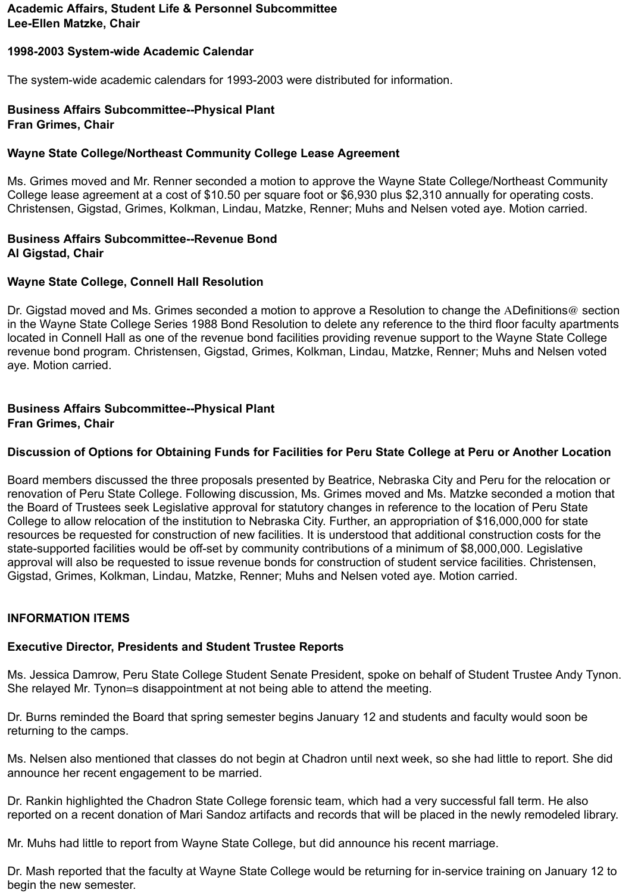## **Academic Affairs, Student Life & Personnel Subcommittee Lee-Ellen Matzke, Chair**

## **1998-2003 System-wide Academic Calendar**

The system-wide academic calendars for 1993-2003 were distributed for information.

#### **Business Affairs Subcommittee--Physical Plant Fran Grimes, Chair**

## **Wayne State College/Northeast Community College Lease Agreement**

Ms. Grimes moved and Mr. Renner seconded a motion to approve the Wayne State College/Northeast Community College lease agreement at a cost of \$10.50 per square foot or \$6,930 plus \$2,310 annually for operating costs. Christensen, Gigstad, Grimes, Kolkman, Lindau, Matzke, Renner; Muhs and Nelsen voted aye. Motion carried.

#### **Business Affairs Subcommittee--Revenue Bond Al Gigstad, Chair**

### **Wayne State College, Connell Hall Resolution**

Dr. Gigstad moved and Ms. Grimes seconded a motion to approve a Resolution to change the ADefinitions@ section in the Wayne State College Series 1988 Bond Resolution to delete any reference to the third floor faculty apartments located in Connell Hall as one of the revenue bond facilities providing revenue support to the Wayne State College revenue bond program. Christensen, Gigstad, Grimes, Kolkman, Lindau, Matzke, Renner; Muhs and Nelsen voted aye. Motion carried.

#### **Business Affairs Subcommittee--Physical Plant Fran Grimes, Chair**

## **Discussion of Options for Obtaining Funds for Facilities for Peru State College at Peru or Another Location**

Board members discussed the three proposals presented by Beatrice, Nebraska City and Peru for the relocation or renovation of Peru State College. Following discussion, Ms. Grimes moved and Ms. Matzke seconded a motion that the Board of Trustees seek Legislative approval for statutory changes in reference to the location of Peru State College to allow relocation of the institution to Nebraska City. Further, an appropriation of \$16,000,000 for state resources be requested for construction of new facilities. It is understood that additional construction costs for the state-supported facilities would be off-set by community contributions of a minimum of \$8,000,000. Legislative approval will also be requested to issue revenue bonds for construction of student service facilities. Christensen, Gigstad, Grimes, Kolkman, Lindau, Matzke, Renner; Muhs and Nelsen voted aye. Motion carried.

### **INFORMATION ITEMS**

## **Executive Director, Presidents and Student Trustee Reports**

Ms. Jessica Damrow, Peru State College Student Senate President, spoke on behalf of Student Trustee Andy Tynon. She relayed Mr. Tynon=s disappointment at not being able to attend the meeting.

Dr. Burns reminded the Board that spring semester begins January 12 and students and faculty would soon be returning to the camps.

Ms. Nelsen also mentioned that classes do not begin at Chadron until next week, so she had little to report. She did announce her recent engagement to be married.

Dr. Rankin highlighted the Chadron State College forensic team, which had a very successful fall term. He also reported on a recent donation of Mari Sandoz artifacts and records that will be placed in the newly remodeled library.

Mr. Muhs had little to report from Wayne State College, but did announce his recent marriage.

Dr. Mash reported that the faculty at Wayne State College would be returning for in-service training on January 12 to begin the new semester.